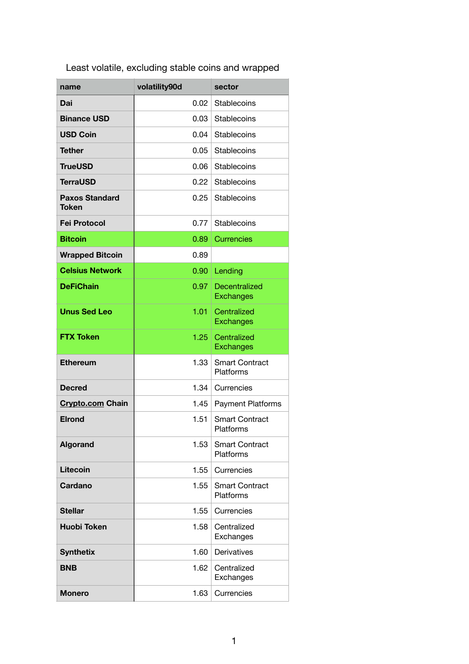| Least volatile, excluding stable coins and wrapped |  |  |  |
|----------------------------------------------------|--|--|--|
|                                                    |  |  |  |

| name                                  | volatility90d | sector                             |
|---------------------------------------|---------------|------------------------------------|
| Dai                                   | 0.02          | Stablecoins                        |
| <b>Binance USD</b>                    | 0.03          | <b>Stablecoins</b>                 |
| <b>USD Coin</b>                       | 0.04          | Stablecoins                        |
| <b>Tether</b>                         | 0.05          | <b>Stablecoins</b>                 |
| <b>TrueUSD</b>                        | 0.06          | <b>Stablecoins</b>                 |
| <b>TerraUSD</b>                       | 0.22          | <b>Stablecoins</b>                 |
| <b>Paxos Standard</b><br><b>Token</b> | 0.25          | Stablecoins                        |
| <b>Fei Protocol</b>                   | 0.77          | Stablecoins                        |
| <b>Bitcoin</b>                        | 0.89          | <b>Currencies</b>                  |
| <b>Wrapped Bitcoin</b>                | 0.89          |                                    |
| <b>Celsius Network</b>                | 0.90          | Lending                            |
| <b>DeFiChain</b>                      | 0.97          | Decentralized<br><b>Exchanges</b>  |
| <b>Unus Sed Leo</b>                   | 1.01          | Centralized<br><b>Exchanges</b>    |
| <b>FTX Token</b>                      | 1.25          | Centralized<br><b>Exchanges</b>    |
| <b>Ethereum</b>                       | 1.33          | <b>Smart Contract</b><br>Platforms |
| <b>Decred</b>                         | 1.34          | Currencies                         |
| <b>Crypto.com Chain</b>               | 1.45          | <b>Payment Platforms</b>           |
| <b>Elrond</b>                         | 1.51          | <b>Smart Contract</b><br>Platforms |
| <b>Algorand</b>                       | 1.53          | <b>Smart Contract</b><br>Platforms |
| Litecoin                              | 1.55          | Currencies                         |
| Cardano                               | 1.55          | <b>Smart Contract</b><br>Platforms |
| <b>Stellar</b>                        | 1.55          | Currencies                         |
| <b>Huobi Token</b>                    | 1.58          | Centralized<br>Exchanges           |
| <b>Synthetix</b>                      | 1.60          | Derivatives                        |
| <b>BNB</b>                            | 1.62          | Centralized<br>Exchanges           |
| <b>Monero</b>                         | 1.63          | Currencies                         |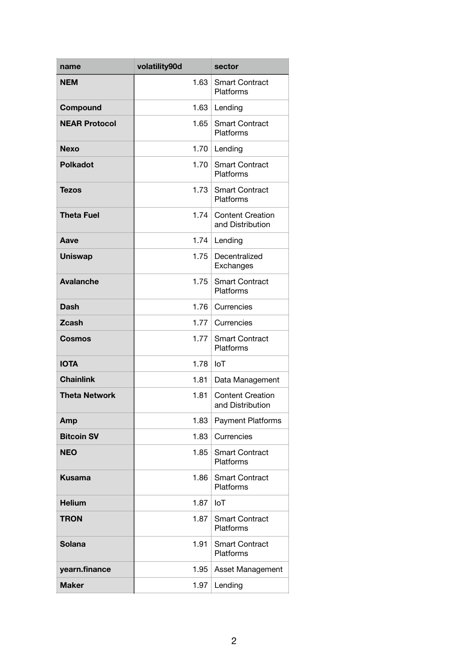| name                 | volatility90d | sector                                      |
|----------------------|---------------|---------------------------------------------|
| <b>NEM</b>           | 1.63          | <b>Smart Contract</b><br>Platforms          |
| Compound             | 1.63          | Lending                                     |
| <b>NEAR Protocol</b> | 1.65          | <b>Smart Contract</b><br>Platforms          |
| <b>Nexo</b>          | 1.70          | Lending                                     |
| <b>Polkadot</b>      | 1.70          | <b>Smart Contract</b><br>Platforms          |
| <b>Tezos</b>         | 1.73          | <b>Smart Contract</b><br>Platforms          |
| <b>Theta Fuel</b>    | 1.74          | <b>Content Creation</b><br>and Distribution |
| Aave                 | 1.74          | Lending                                     |
| <b>Uniswap</b>       | 1.75          | Decentralized<br>Exchanges                  |
| <b>Avalanche</b>     | 1.75          | <b>Smart Contract</b><br>Platforms          |
| <b>Dash</b>          | 1.76          | Currencies                                  |
| <b>Zcash</b>         | 1.77          | Currencies                                  |
| Cosmos               | 1.77          | <b>Smart Contract</b><br>Platforms          |
| <b>IOTA</b>          | 1.78          | <b>IoT</b>                                  |
| <b>Chainlink</b>     | 1.81          | Data Management                             |
| <b>Theta Network</b> | 1.81          | <b>Content Creation</b><br>and Distribution |
| Amp                  | 1.83          | Payment Platforms                           |
| <b>Bitcoin SV</b>    | 1.83          | Currencies                                  |
| <b>NEO</b>           | 1.85          | <b>Smart Contract</b><br>Platforms          |
| <b>Kusama</b>        | 1.86          | <b>Smart Contract</b><br>Platforms          |
| <b>Helium</b>        | 1.87          | <b>IoT</b>                                  |
| <b>TRON</b>          | 1.87          | <b>Smart Contract</b><br>Platforms          |
| <b>Solana</b>        | 1.91          | <b>Smart Contract</b><br>Platforms          |
| yearn.finance        | 1.95          | Asset Management                            |
| <b>Maker</b>         | 1.97          | Lending                                     |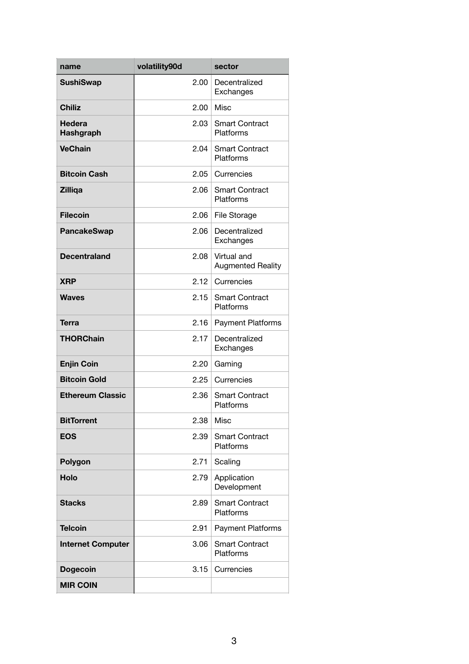| name                     | volatility90d | sector                                  |
|--------------------------|---------------|-----------------------------------------|
| <b>SushiSwap</b>         | 2.00          | Decentralized<br>Exchanges              |
| <b>Chiliz</b>            | 2.00          | Misc                                    |
| Hedera<br>Hashgraph      | 2.03          | <b>Smart Contract</b><br>Platforms      |
| <b>VeChain</b>           | 2.04          | <b>Smart Contract</b><br>Platforms      |
| <b>Bitcoin Cash</b>      | 2.05          | Currencies                              |
| <b>Zilliga</b>           | 2.06          | <b>Smart Contract</b><br>Platforms      |
| <b>Filecoin</b>          | 2.06          | File Storage                            |
| <b>PancakeSwap</b>       | 2.06          | Decentralized<br>Exchanges              |
| <b>Decentraland</b>      | 2.08          | Virtual and<br><b>Augmented Reality</b> |
| <b>XRP</b>               | 2.12          | Currencies                              |
| <b>Waves</b>             | 2.15          | <b>Smart Contract</b><br>Platforms      |
| Terra                    | 2.16          | Payment Platforms                       |
| <b>THORChain</b>         | 2.17          | Decentralized<br>Exchanges              |
| <b>Enjin Coin</b>        | 2.20          | Gaming                                  |
| <b>Bitcoin Gold</b>      | 2.25          | Currencies                              |
| <b>Ethereum Classic</b>  | 2.36          | <b>Smart Contract</b><br>Platforms      |
| <b>BitTorrent</b>        | 2.38          | Misc                                    |
| <b>EOS</b>               | 2.39          | <b>Smart Contract</b><br>Platforms      |
| Polygon                  | 2.71          | Scaling                                 |
| Holo                     | 2.79          | Application<br>Development              |
| <b>Stacks</b>            | 2.89          | <b>Smart Contract</b><br>Platforms      |
| <b>Telcoin</b>           | 2.91          | Payment Platforms                       |
| <b>Internet Computer</b> | 3.06          | <b>Smart Contract</b><br>Platforms      |
| <b>Dogecoin</b>          | 3.15          | Currencies                              |
| <b>MIR COIN</b>          |               |                                         |